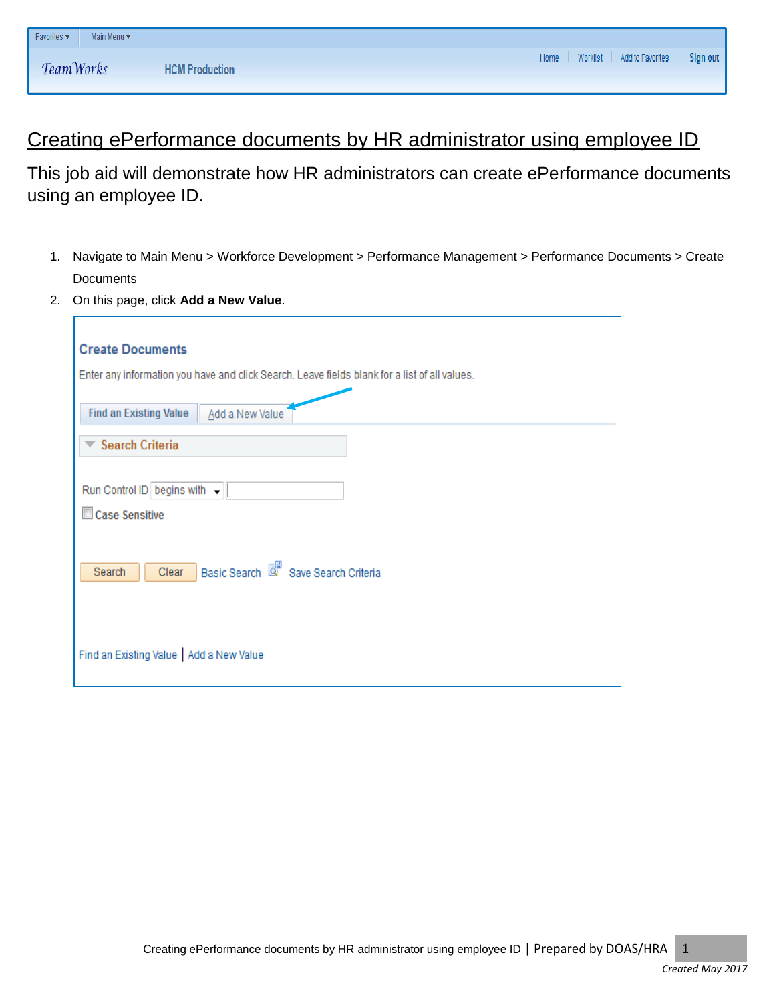# Creating ePerformance documents by HR administrator using employee ID

This job aid will demonstrate how HR administrators can create ePerformance documents using an employee ID.

- 1. Navigate to Main Menu > Workforce Development > Performance Management > Performance Documents > Create **Documents**
- 2. On this page, click **Add a New Value**.

| <b>Create Documents</b>                                                                       |
|-----------------------------------------------------------------------------------------------|
| Enter any information you have and click Search. Leave fields blank for a list of all values. |
| <b>Find an Existing Value</b><br>Add a New Value                                              |
| <b>Search Criteria</b><br>▼                                                                   |
|                                                                                               |
| Run Control ID begins with -                                                                  |
| Case Sensitive                                                                                |
|                                                                                               |
| Basic Search <b>Q</b> Save Search Criteria<br>Clear<br>Search                                 |
|                                                                                               |
|                                                                                               |
|                                                                                               |
| Find an Existing Value   Add a New Value                                                      |
|                                                                                               |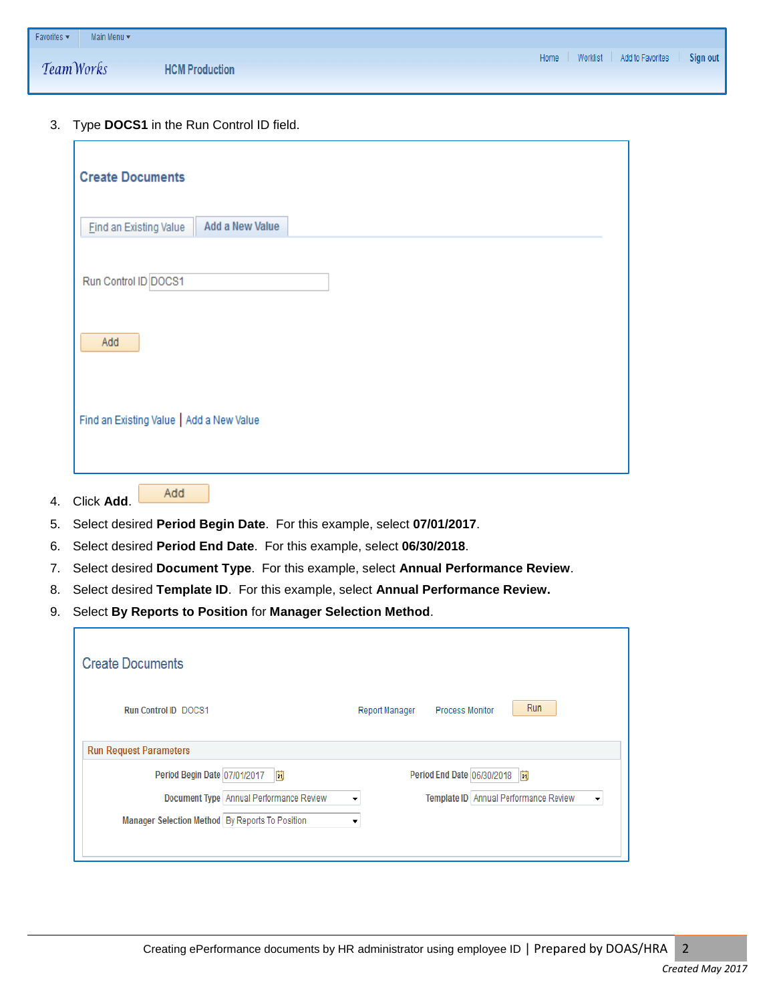| $F$ Favorites $\star$ | Main Menu * |                       |                                               |
|-----------------------|-------------|-----------------------|-----------------------------------------------|
| TeamWorks             |             | <b>HCM Production</b> | Home   Worklist   Add to Favorites   Sign out |

### 3. Type **DOCS1** in the Run Control ID field.

Add

| <b>Create Documents</b>                          |  |
|--------------------------------------------------|--|
| Add a New Value<br><b>Find an Existing Value</b> |  |
| Run Control ID DOCS1                             |  |
| Add                                              |  |
| Find an Existing Value   Add a New Value         |  |

- 4. Click **Add**.
- 5. Select desired **Period Begin Date**. For this example, select **07/01/2017**.
- 6. Select desired **Period End Date**. For this example, select **06/30/2018**.
- 7. Select desired **Document Type**. For this example, select **Annual Performance Review**.
- 8. Select desired **Template ID**. For this example, select **Annual Performance Review.**
- 9. Select **By Reports to Position** for **Manager Selection Method**.

| <b>Create Documents</b>                         |                                                 |
|-------------------------------------------------|-------------------------------------------------|
| <b>Run Control ID DOCS1</b>                     | Run<br><b>Process Monitor</b><br>Report Manager |
| <b>Run Request Parameters</b>                   |                                                 |
| Period Begin Date 07/01/2017<br>Ħ               | Period End Date 06/30/2018<br>BU                |
| Document Type   Annual Performance Review       | Template ID Annual Performance Review<br>▼<br>▼ |
| Manager Selection Method By Reports To Position | ▼                                               |
|                                                 |                                                 |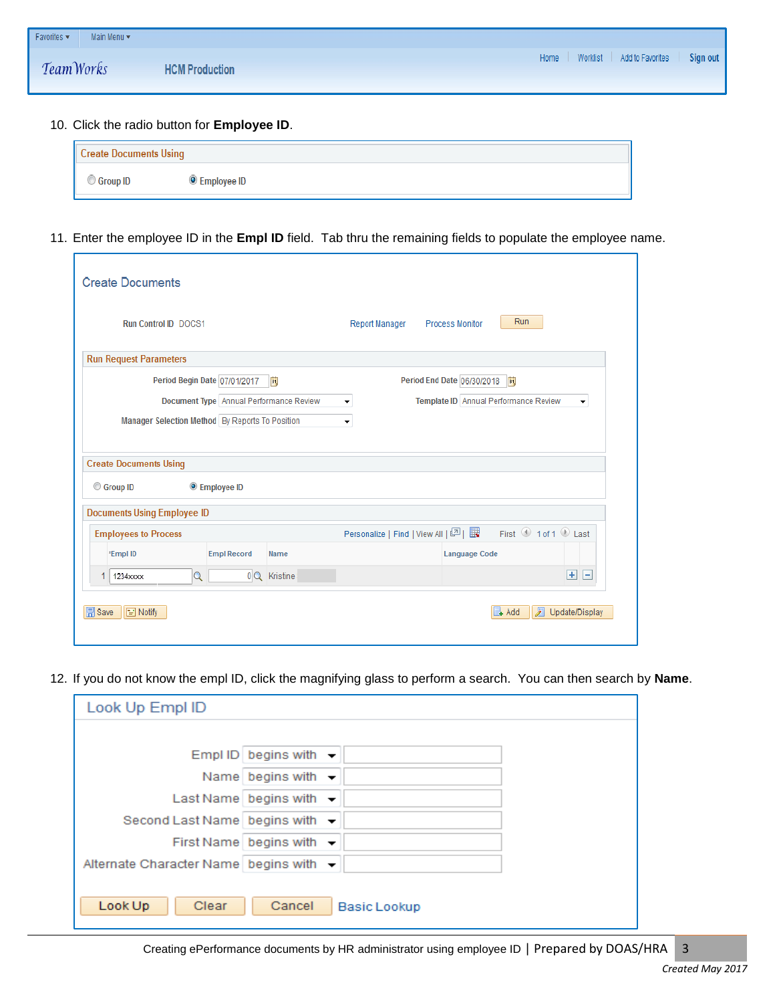| Favorites $\star$ | Main Menu v |                       |                                         |
|-------------------|-------------|-----------------------|-----------------------------------------|
| Team Works        |             | <b>HCM Production</b> | Home Worklist Add to Favorites Sign out |

#### 10. Click the radio button for **Employee ID**.

| <b>Create Documents Using</b> |               |  |  |
|-------------------------------|---------------|--|--|
| C Group ID                    | ) Employee ID |  |  |

11. Enter the employee ID in the **Empl ID** field. Tab thru the remaining fields to populate the employee name.

| <b>Create Documents</b>                                                                                                                                               |                                                                                                                                                            |  |  |  |
|-----------------------------------------------------------------------------------------------------------------------------------------------------------------------|------------------------------------------------------------------------------------------------------------------------------------------------------------|--|--|--|
| <b>Run Control ID DOCS1</b>                                                                                                                                           | Run<br>Report Manager<br><b>Process Monitor</b>                                                                                                            |  |  |  |
| <b>Run Request Parameters</b>                                                                                                                                         |                                                                                                                                                            |  |  |  |
| Period Begin Date 07/01/2017                                                                                                                                          | BU<br>Period End Date 06/30/2018<br>Ħ                                                                                                                      |  |  |  |
| Document Type Annual Performance Review<br>Template ID Annual Performance Review<br>▼<br>۰<br>Manager Selection Method By Reports To Position<br>$\blacktriangledown$ |                                                                                                                                                            |  |  |  |
| <b>Create Documents Using</b>                                                                                                                                         |                                                                                                                                                            |  |  |  |
| <b>Employee ID</b><br>Group ID                                                                                                                                        |                                                                                                                                                            |  |  |  |
| <b>Documents Using Employee ID</b>                                                                                                                                    |                                                                                                                                                            |  |  |  |
| <b>Employees to Process</b>                                                                                                                                           | First $\textcircled{\tiny{\textcircled{\small{1}}} }$ 1 of 1 $\textcircled{\tiny{\textcircled{\small{1}}} }$ Last<br>Personalize   Find   View All   의   표 |  |  |  |
| <b>Empl Record</b><br>*Empl ID                                                                                                                                        | <b>Language Code</b><br>Name                                                                                                                               |  |  |  |
| Q<br>1234xxxx                                                                                                                                                         | $\pm$ $\pm$<br>0 Q Kristine                                                                                                                                |  |  |  |
| <b>同</b> Save<br>$\equiv$ Notify                                                                                                                                      | 园<br><b>EL</b> Add<br>Update/Display                                                                                                                       |  |  |  |

12. If you do not know the empl ID, click the magnifying glass to perform a search. You can then search by **Name**.

| Look Up Empl ID                                    |                                   |
|----------------------------------------------------|-----------------------------------|
|                                                    |                                   |
|                                                    | Empl ID begins with $\rightarrow$ |
|                                                    | Name begins with -                |
|                                                    | Last Name begins with             |
| Second Last Name begins with $\sim$                |                                   |
|                                                    | First Name begins with            |
| Alternate Character Name begins with $\rightarrow$ |                                   |
|                                                    |                                   |
| Look Up<br>Clear                                   | Cancel<br><b>Basic Lookup</b>     |

Creating ePerformance documents by HR administrator using employee ID | Prepared by DOAS/HRA 3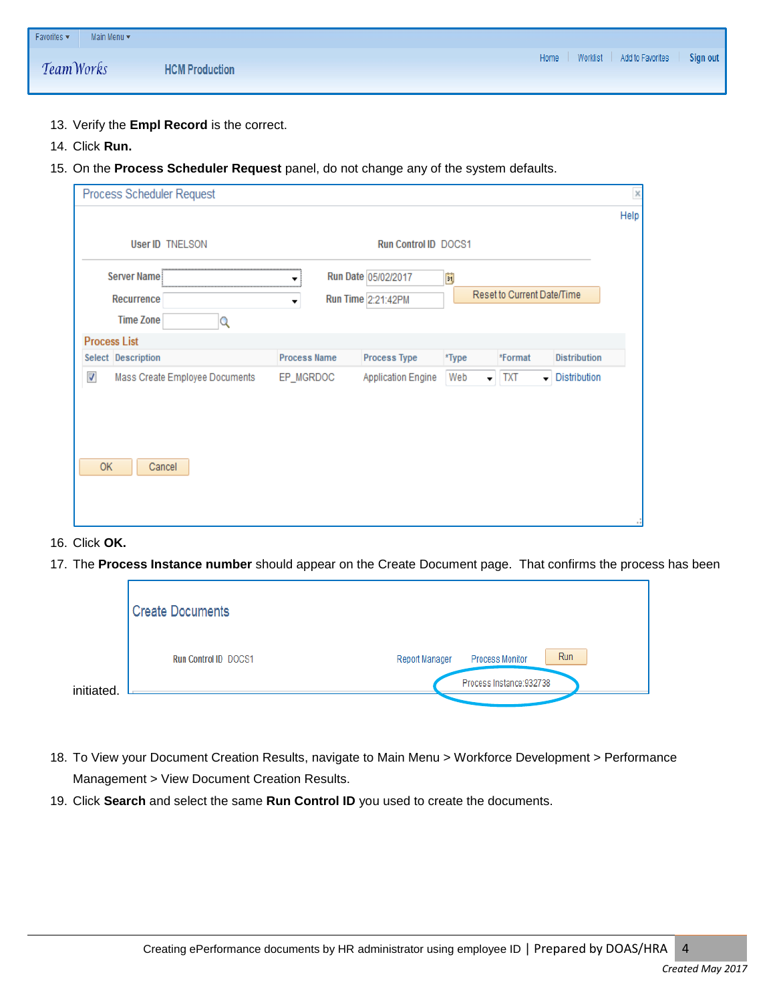| Favorites v | Main Menu v |                       |                                               |
|-------------|-------------|-----------------------|-----------------------------------------------|
| Team Works  |             | <b>HCM Production</b> | Home   Worklist   Add to Favorites   Sign out |

- 13. Verify the **Empl Record** is the correct.
- 14. Click **Run.**
- 15. On the **Process Scheduler Request** panel, do not change any of the system defaults.

| Process Scheduler Request                                  |                                    |                           |       |                                                     |                     | $\times$ |
|------------------------------------------------------------|------------------------------------|---------------------------|-------|-----------------------------------------------------|---------------------|----------|
|                                                            |                                    |                           |       |                                                     |                     | Help     |
| <b>User ID TNELSON</b>                                     |                                    | Run Control ID DOCS1      |       |                                                     |                     |          |
| <b>Server Name</b>                                         | ********************************** | Run Date 05/02/2017       | E     |                                                     |                     |          |
| <b>Recurrence</b>                                          | ▼                                  | Run Time 2:21:42PM        |       | Reset to Current Date/Time                          |                     |          |
| <b>Time Zone</b>                                           |                                    |                           |       |                                                     |                     |          |
| <b>Process List</b>                                        |                                    |                           |       |                                                     |                     |          |
| Select Description                                         | <b>Process Name</b>                | <b>Process Type</b>       | *Type | *Format                                             | <b>Distribution</b> |          |
| $\overline{\mathcal{A}}$<br>Mass Create Employee Documents | EP_MGRDOC                          | <b>Application Engine</b> | Web   | $\blacktriangledown$ TXT<br>$\overline{\mathbf{v}}$ | Distribution        |          |
|                                                            |                                    |                           |       |                                                     |                     |          |
|                                                            |                                    |                           |       |                                                     |                     |          |
|                                                            |                                    |                           |       |                                                     |                     |          |
|                                                            |                                    |                           |       |                                                     |                     |          |
| <b>OK</b><br>Cancel                                        |                                    |                           |       |                                                     |                     |          |
|                                                            |                                    |                           |       |                                                     |                     |          |
|                                                            |                                    |                           |       |                                                     |                     |          |

#### 16. Click **OK.**

17. The **Process Instance number** should appear on the Create Document page. That confirms the process has been

| <b>Create Documents</b>     |                                                        |
|-----------------------------|--------------------------------------------------------|
| <b>Run Control ID DOCS1</b> | <b>Run</b><br><b>Process Monitor</b><br>Report Manager |
| initiated.                  | Process Instance: 932738                               |

- 18. To View your Document Creation Results, navigate to Main Menu > Workforce Development > Performance Management > View Document Creation Results.
- 19. Click **Search** and select the same **Run Control ID** you used to create the documents.